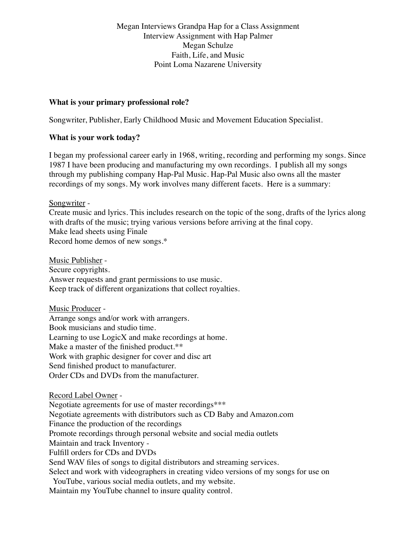Megan Interviews Grandpa Hap for a Class Assignment Interview Assignment with Hap Palmer Megan Schulze Faith, Life, and Music Point Loma Nazarene University

#### **What is your primary professional role?**

Songwriter, Publisher, Early Childhood Music and Movement Education Specialist.

### **What is your work today?**

I began my professional career early in 1968, writing, recording and performing my songs. Since 1987 I have been producing and manufacturing my own recordings. I publish all my songs through my publishing company Hap-Pal Music. Hap-Pal Music also owns all the master recordings of my songs. My work involves many different facets. Here is a summary:

Songwriter -

Create music and lyrics. This includes research on the topic of the song, drafts of the lyrics along with drafts of the music; trying various versions before arriving at the final copy. Make lead sheets using Finale Record home demos of new songs.\*

Music Publisher - Secure copyrights. Answer requests and grant permissions to use music. Keep track of different organizations that collect royalties.

Music Producer - Arrange songs and/or work with arrangers. Book musicians and studio time. Learning to use LogicX and make recordings at home. Make a master of the finished product.\*\* Work with graphic designer for cover and disc art Send finished product to manufacturer. Order CDs and DVDs from the manufacturer.

Record Label Owner - Negotiate agreements for use of master recordings\*\*\* Negotiate agreements with distributors such as CD Baby and Amazon.com Finance the production of the recordings Promote recordings through personal website and social media outlets Maintain and track Inventory - Fulfill orders for CDs and DVDs Send WAV files of songs to digital distributors and streaming services. Select and work with videographers in creating video versions of my songs for use on YouTube, various social media outlets, and my website. Maintain my YouTube channel to insure quality control.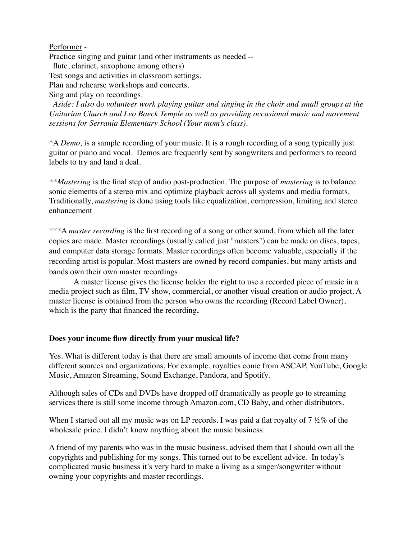### Performer -

Practice singing and guitar (and other instruments as needed --

flute, clarinet, saxophone among others)

Test songs and activities in classroom settings.

Plan and rehearse workshops and concerts.

Sing and play on recordings.

 *Aside: I also* d*o volunteer work playing guitar and singing in the choir and small groups at the Unitarian Church and Leo Baeck Temple as well as providing occasional music and movement sessions for Serrania Elementary School (Your mom's class).*

\*A *Demo,* is a sample recording of your music. It is a rough recording of a song typically just guitar or piano and vocal. Demos are frequently sent by songwriters and performers to record labels to try and land a deal.

*\*\*Mastering* is the final step of audio post-production. The purpose of *mastering* is to balance sonic elements of a stereo mix and optimize playback across all systems and media formats. Traditionally, *mastering* is done using tools like equalization, compression, limiting and stereo enhancement

\*\*\*A *master recording* is the first recording of a song or other sound, from which all the later copies are made. Master recordings (usually called just "masters") can be made on discs, tapes, and computer data storage formats. Master recordings often become valuable, especially if the recording artist is popular. Most masters are owned by record companies, but many artists and bands own their own master recordings

A master license gives the license holder the **r**ight to use a recorded piece of music in a media project such as film, TV show, commercial, or another visual creation or audio project. A master license is obtained from the person who owns the recording (Record Label Owner), which is the party that financed the recording**.**

#### **Does your income flow directly from your musical life?**

Yes. What is different today is that there are small amounts of income that come from many different sources and organizations. For example, royalties come from ASCAP, YouTube, Google Music, Amazon Streaming, Sound Exchange, Pandora, and Spotify.

Although sales of CDs and DVDs have dropped off dramatically as people go to streaming services there is still some income through Amazon.com, CD Baby, and other distributors.

When I started out all my music was on LP records. I was paid a flat royalty of 7  $\frac{1}{2}\%$  of the wholesale price. I didn't know anything about the music business.

A friend of my parents who was in the music business, advised them that I should own all the copyrights and publishing for my songs. This turned out to be excellent advice. In today's complicated music business it's very hard to make a living as a singer/songwriter without owning your copyrights and master recordings.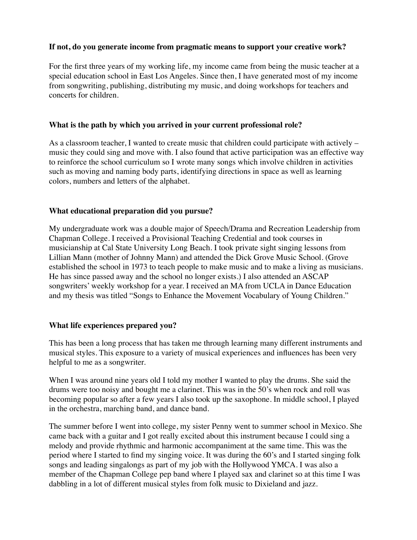## **If not, do you generate income from pragmatic means to support your creative work?**

For the first three years of my working life, my income came from being the music teacher at a special education school in East Los Angeles. Since then, I have generated most of my income from songwriting, publishing, distributing my music, and doing workshops for teachers and concerts for children.

## **What is the path by which you arrived in your current professional role?**

As a classroom teacher, I wanted to create music that children could participate with actively – music they could sing and move with. I also found that active participation was an effective way to reinforce the school curriculum so I wrote many songs which involve children in activities such as moving and naming body parts, identifying directions in space as well as learning colors, numbers and letters of the alphabet.

### **What educational preparation did you pursue?**

My undergraduate work was a double major of Speech/Drama and Recreation Leadership from Chapman College. I received a Provisional Teaching Credential and took courses in musicianship at Cal State University Long Beach. I took private sight singing lessons from Lillian Mann (mother of Johnny Mann) and attended the Dick Grove Music School. (Grove established the school in 1973 to teach people to make music and to make a living as musicians. He has since passed away and the school no longer exists.) I also attended an ASCAP songwriters' weekly workshop for a year. I received an MA from UCLA in Dance Education and my thesis was titled "Songs to Enhance the Movement Vocabulary of Young Children."

#### **What life experiences prepared you?**

This has been a long process that has taken me through learning many different instruments and musical styles. This exposure to a variety of musical experiences and influences has been very helpful to me as a songwriter.

When I was around nine years old I told my mother I wanted to play the drums. She said the drums were too noisy and bought me a clarinet. This was in the 50's when rock and roll was becoming popular so after a few years I also took up the saxophone. In middle school, I played in the orchestra, marching band, and dance band.

The summer before I went into college, my sister Penny went to summer school in Mexico. She came back with a guitar and I got really excited about this instrument because I could sing a melody and provide rhythmic and harmonic accompaniment at the same time. This was the period where I started to find my singing voice. It was during the 60's and I started singing folk songs and leading singalongs as part of my job with the Hollywood YMCA. I was also a member of the Chapman College pep band where I played sax and clarinet so at this time I was dabbling in a lot of different musical styles from folk music to Dixieland and jazz.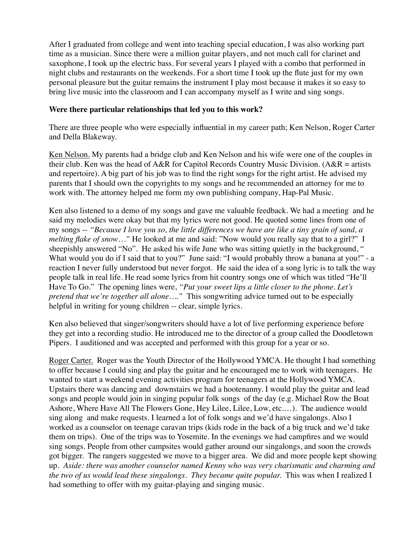After I graduated from college and went into teaching special education, I was also working part time as a musician. Since there were a million guitar players, and not much call for clarinet and saxophone, I took up the electric bass. For several years I played with a combo that performed in night clubs and restaurants on the weekends. For a short time I took up the flute just for my own personal pleasure but the guitar remains the instrument I play most because it makes it so easy to bring live music into the classroom and I can accompany myself as I write and sing songs.

### **Were there particular relationships that led you to this work?**

There are three people who were especially influential in my career path; Ken Nelson, Roger Carter and Della Blakeway.

Ken Nelson. My parents had a bridge club and Ken Nelson and his wife were one of the couples in their club. Ken was the head of  $A\&R$  for Capitol Records Country Music Division. ( $A\&R =$  artists and repertoire). A big part of his job was to find the right songs for the right artist. He advised my parents that I should own the copyrights to my songs and he recommended an attorney for me to work with. The attorney helped me form my own publishing company, Hap-Pal Music.

Ken also listened to a demo of my songs and gave me valuable feedback. We had a meeting and he said my melodies were okay but that my lyrics were not good. He quoted some lines from one of my songs -- *"Because I love you so, the little differences we have are like a tiny grain of sand, a melting flake of snow*..." He looked at me and said: "Now would you really say that to a girl?" I sheepishly answered "No". He asked his wife June who was sitting quietly in the background, " What would you do if I said that to you?" June said: "I would probably throw a banana at you!" - a reaction I never fully understood but never forgot. He said the idea of a song lyric is to talk the way people talk in real life. He read some lyrics from hit country songs one of which was titled "He'll Have To Go." The opening lines were, *"Put your sweet lips a little closer to the phone. Let's pretend that we're together all alone…."* This songwriting advice turned out to be especially helpful in writing for young children -- clear, simple lyrics.

Ken also believed that singer/songwriters should have a lot of live performing experience before they get into a recording studio. He introduced me to the director of a group called the Doodletown Pipers. I auditioned and was accepted and performed with this group for a year or so.

Roger Carter. Roger was the Youth Director of the Hollywood YMCA. He thought I had something to offer because I could sing and play the guitar and he encouraged me to work with teenagers. He wanted to start a weekend evening activities program for teenagers at the Hollywood YMCA. Upstairs there was dancing and downstairs we had a hootenanny. I would play the guitar and lead songs and people would join in singing popular folk songs of the day (e.g. Michael Row the Boat Ashore, Where Have All The Flowers Gone, Hey Lilee, Lilee, Low, etc.…). The audience would sing along and make requests. I learned a lot of folk songs and we'd have singalongs. Also I worked as a counselor on teenage caravan trips (kids rode in the back of a big truck and we'd take them on trips). One of the trips was to Yosemite. In the evenings we had campfires and we would sing songs. People from other campsites would gather around our singalongs, and soon the crowds got bigger. The rangers suggested we move to a bigger area. We did and more people kept showing up. *Aside: there was another counselor named Kenny who was very charismatic and charming and the two of us would lead these singalongs. They became quite popular. This was when I realized I* had something to offer with my guitar-playing and singing music.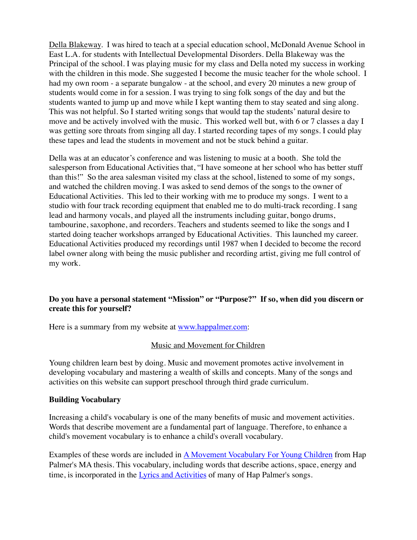Della Blakeway. I was hired to teach at a special education school, McDonald Avenue School in East L.A. for students with Intellectual Developmental Disorders. Della Blakeway was the Principal of the school. I was playing music for my class and Della noted my success in working with the children in this mode. She suggested I become the music teacher for the whole school. I had my own room - a separate bungalow - at the school, and every 20 minutes a new group of students would come in for a session. I was trying to sing folk songs of the day and but the students wanted to jump up and move while I kept wanting them to stay seated and sing along. This was not helpful. So I started writing songs that would tap the students' natural desire to move and be actively involved with the music. This worked well but, with 6 or 7 classes a day I was getting sore throats from singing all day. I started recording tapes of my songs. I could play these tapes and lead the students in movement and not be stuck behind a guitar.

Della was at an educator's conference and was listening to music at a booth. She told the salesperson from Educational Activities that, "I have someone at her school who has better stuff than this!" So the area salesman visited my class at the school, listened to some of my songs, and watched the children moving. I was asked to send demos of the songs to the owner of Educational Activities. This led to their working with me to produce my songs. I went to a studio with four track recording equipment that enabled me to do multi-track recording. I sang lead and harmony vocals, and played all the instruments including guitar, bongo drums, tambourine, saxophone, and recorders. Teachers and students seemed to like the songs and I started doing teacher workshops arranged by Educational Activities. This launched my career. Educational Activities produced my recordings until 1987 when I decided to become the record label owner along with being the music publisher and recording artist, giving me full control of my work.

# **Do you have a personal statement "Mission" or "Purpose?" If so, when did you discern or create this for yourself?**

Here is a summary from my website at [www.happalmer.com](http://www.happalmer.com):

#### Music and Movement for Children

Young children learn best by doing. Music and movement promotes active involvement in developing vocabulary and mastering a wealth of skills and concepts. Many of the songs and activities on this website can support preschool through third grade curriculum.

#### **Building Vocabulary**

Increasing a child's vocabulary is one of the many benefits of music and movement activities. Words that describe movement are a fundamental part of language. Therefore, to enhance a child's movement vocabulary is to enhance a child's overall vocabulary.

Examples of these words are included in **[A Movement Vocabulary For Young Children](http://happalmer.com/Files/Music%20and%20Movement.html#Vocabulary)** from Hap Palmer's MA thesis. This vocabulary, including words that describe actions, space, energy and time, is incorporated in the [Lyrics and Activities](http://happalmer.com/Files/Lyrics%20and%20Activities2.html) of many of Hap Palmer's songs.